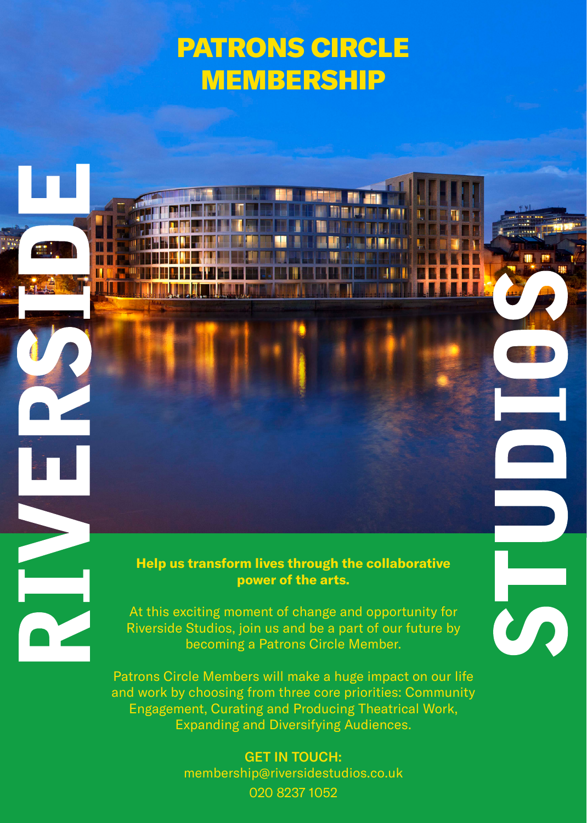# PATRONS CIRCLE MEMBERSHIP

п

IVI



At this exciting moment of change and opportunity for Riverside Studios, join us and be a part of our future by becoming a Patrons Circle Member.

Patrons Circle Members will make a huge impact on our life and work by choosing from three core priorities: Community Engagement, Curating and Producing Theatrical Work, Expanding and Diversifying Audiences.

> GET IN TOUCH: membership@riversidestudios.co.uk 020 8237 1052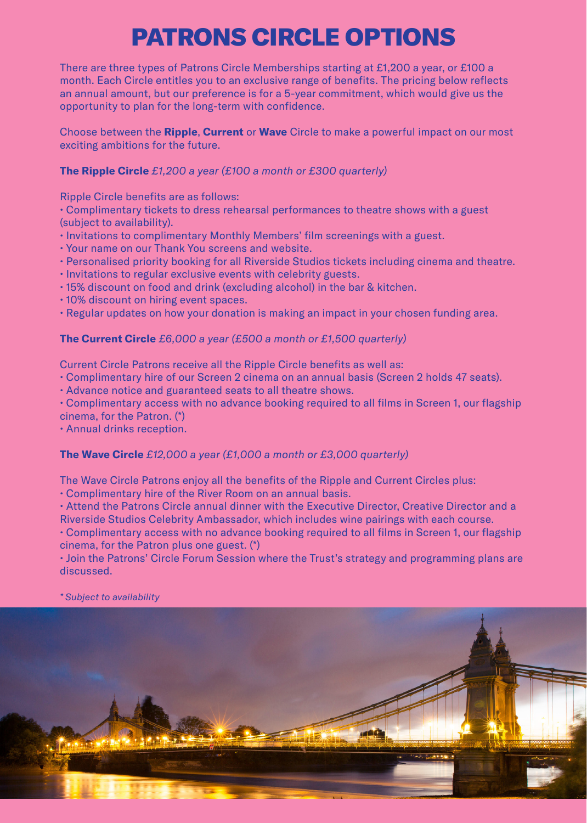# PATRONS CIRCLE OPTIONS

There are three types of Patrons Circle Memberships starting at £1,200 a year, or £100 a month. Each Circle entitles you to an exclusive range of benefits. The pricing below reflects an annual amount, but our preference is for a 5-year commitment, which would give us the opportunity to plan for the long-term with confidence.

Choose between the **Ripple**, **Current** or **Wave** Circle to make a powerful impact on our most exciting ambitions for the future.

**The Ripple Circle** *£1,200 a year (£100 a month or £300 quarterly)*

Ripple Circle benefits are as follows:

• Complimentary tickets to dress rehearsal performances to theatre shows with a guest (subject to availability).

- Invitations to complimentary Monthly Members' film screenings with a guest.
- Your name on our Thank You screens and website.
- Personalised priority booking for all Riverside Studios tickets including cinema and theatre.
- Invitations to regular exclusive events with celebrity guests.
- 15% discount on food and drink (excluding alcohol) in the bar & kitchen.
- 10% discount on hiring event spaces.
- Regular updates on how your donation is making an impact in your chosen funding area.

#### **The Current Circle** *£6,000 a year (£500 a month or £1,500 quarterly)*

Current Circle Patrons receive all the Ripple Circle benefits as well as:

• Complimentary hire of our Screen 2 cinema on an annual basis (Screen 2 holds 47 seats).

• Advance notice and guaranteed seats to all theatre shows.

• Complimentary access with no advance booking required to all films in Screen 1, our flagship cinema, for the Patron. (\*)

• Annual drinks reception.

#### **The Wave Circle** *£12,000 a year (£1,000 a month or £3,000 quarterly)*

The Wave Circle Patrons enjoy all the benefits of the Ripple and Current Circles plus:

• Complimentary hire of the River Room on an annual basis.

• Attend the Patrons Circle annual dinner with the Executive Director, Creative Director and a Riverside Studios Celebrity Ambassador, which includes wine pairings with each course.

• Complimentary access with no advance booking required to all films in Screen 1, our flagship cinema, for the Patron plus one guest. (\*)

• Join the Patrons' Circle Forum Session where the Trust's strategy and programming plans are discussed.

*\* Subject to availability*

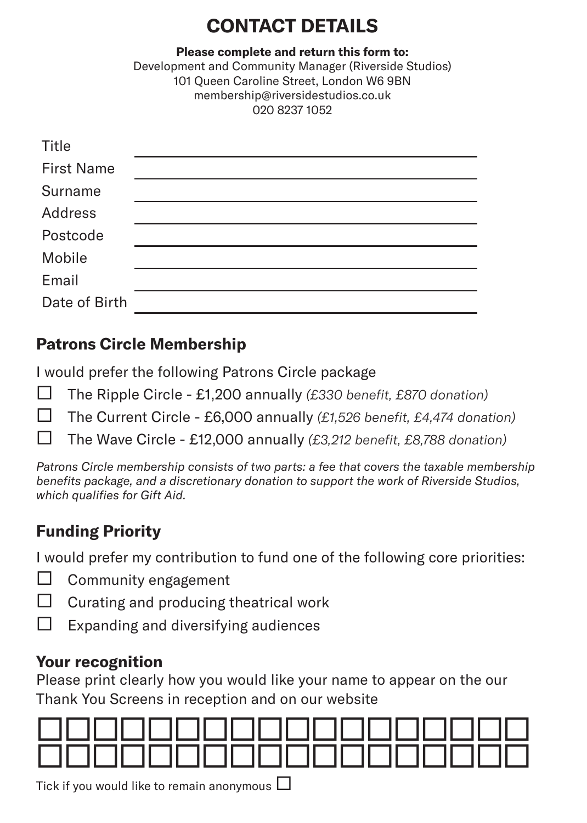# **CONTACT DETAILS**

**Please complete and return this form to:** Development and Community Manager (Riverside Studios) 101 Queen Caroline Street, London W6 9BN membership@riversidestudios.co.uk 020 8237 1052

| Title             |  |
|-------------------|--|
| <b>First Name</b> |  |
| Surname           |  |
| Address           |  |
| Postcode          |  |
| Mobile            |  |
| Email             |  |
| Date of Birth     |  |

## **Patrons Circle Membership**

I would prefer the following Patrons Circle package

- The Ripple Circle £1,200 annually *(£330 benefit, £870 donation)*
- The Current Circle £6,000 annually *(£1,526 benefit, £4,474 donation)*
- The Wave Circle £12,000 annually *(£3,212 benefit, £8,788 donation)*

*Patrons Circle membership consists of two parts: a fee that covers the taxable membership benefits package, and a discretionary donation to support the work of Riverside Studios, which qualifies for Gift Aid.*

## **Funding Priority**

I would prefer my contribution to fund one of the following core priorities:

- Community engagement
- Curating and producing theatrical work
- $\Box$  Expanding and diversifying audiences

### **Your recognition**

Please print clearly how you would like your name to appear on the our Thank You Screens in reception and on our website



Tick if you would like to remain anonymous  $\Box$